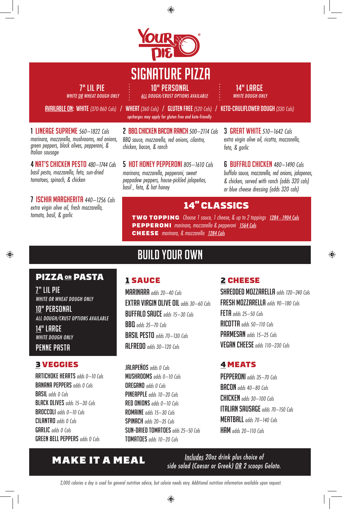

◈

# SIGNATURE PIZZA

7" LIL PIE 10 : 10" PERSONAL 100 : 14" LARGE

1 LINEAGE SUPREME *560–1822 Cals marinara, mozzarella, mushrooms, red onions, green peppers, black olives, pepperoni, &* 

4 NAT'S CHICKEN PESTO *480–1744 Cals basil pesto, mozzarella, feta, sun-dried*

7 ISCHIA MARGHERITA *440–1256 Cals extra virgin olive oil, fresh mozzarella,* 

*tomatoes, spinach, & chicken*

*tomato, basil, & garlic*

⊕

*Italian sausage*

WHITE OR WHEAT DOUGH ONLY : ALL DOUGH/CRUST OPTIONS AVAILABLE : WHITE DOUGH ONLY

AVAILABLE ON: white *(370-860 Cals)* / wheat *(360 Cals)* / gluten free *(520 Cals)* / keto-cauliflower dough *(330 Cals) upcharges may apply for gluten free and keto-friendly*

> 2 BBQ CHICKEN BACON RANCH *500–2114 Cals BBQ sauce, mozzarella, red onions, cilantro, chicken, bacon, & ranch*

5 HOT HONEY PEPPERONI *805–1610 Cals marinara, mozzarella, pepperoni, sweet peppadew peppers, house-pickled jalapeños, basil , feta, & hot honey*

3 GREAT WHITE *510–1642 Cals extra virgin olive oil, ricotta, mozzarella, feta, & garlic*

6 BUFFALO CHICKEN*480–1490 Cals buffalo sauce, mozzarella, red onions, jalapenos, & chicken, served with ranch (adds 320 cals) or blue cheese dressing (adds 320 cals)*

♠

#### 14" CLASSICS

TWO TOPPING Choose 1 sauce, 1 cheese, *&* up to 2 toppings 1284 - 1904 Cals PEPPERONI marinara, mozzarella & pepperoni 1564 Cals CHEESE marinara, & mozzarella 1284 Cals

#### PIZZA OR PASTA

7" LIL PIE WHITE OR WHEAT DOUGH ONLY

10" PERSONAL ALL DOUGH/CRUST OPTIONS AVAILABLE

14" LARGE WHITE DOUGH ONLY PENNE PASTA

#### 3VEGGIES JALAPEÑOS *adds 0 Cals*

ARTICHOKE HEARTS *adds 0–10 Cals* BANANA PEPPERS *adds 0 Cals* BASIL *adds 0 Cals* BLACK OLIVES *adds 15–30 Cals* BROCCOLI *adds 0–10 Cals* CILANTRO *adds 0 Cals* GARLIC *adds 0 Cals* GREEN BELL PEPPERS *adds 0 Cals*

# BUILD YOUR OWN

#### 1 SAUCE

MARINARA *adds 20–40 Cals* EXTRA VIRGIN OLIVE OIL *adds 30–60 Cals* BUFFALO SAUCE *adds 15–30 Cals* BBQ *adds 35–70 Cals* BASIL PESTO *adds 70–130 Cals* ALFREDO *adds 30–120 Cals*

MUSHROOMS *adds 0–10 Cals* OREGANO *adds 0 Cals* PINEAPPLE *adds 10–20 Cals* RED ONIONS *adds 0–10 Cals* ROMAINE *adds 15–30 Cals* SPINACH *adds 20–35 Cals* SUN-DRIED TOMATOES *adds 25–50 Cals* TOMATOES *adds 10–20 Cals*

#### 2 CHEESE

SHREDDED MOZZARELLA *adds 120–240 Cals* FRESH MOZZARELLA *adds 90–180 Cals* FETA *adds 25–50 Cals* RICOTTA *adds 50–110 Cals* PARMESAN*adds 15–25 Cals* VEGAN CHEESE *adds 110–230 Cals*

#### 4MEATS

PEPPERONI *adds 35–70 Cals* BACON*adds 40–80 Cals* CHICKEN*adds 30–100 Cals* ITALIAN SAUSAGE *adds 70–150 Cals* MEATBALL *adds 70–140 Cals* HAM *adds 20–110 Cals*

**MAKE IT A MEAL** Side salad (Caesar or Greek) <u>OR</u> 2 scoops Gelato.

*2,000 calories a day is used for general nutrition advice, but calorie needs vary. Additional nutrition information available upon request.*

⊕